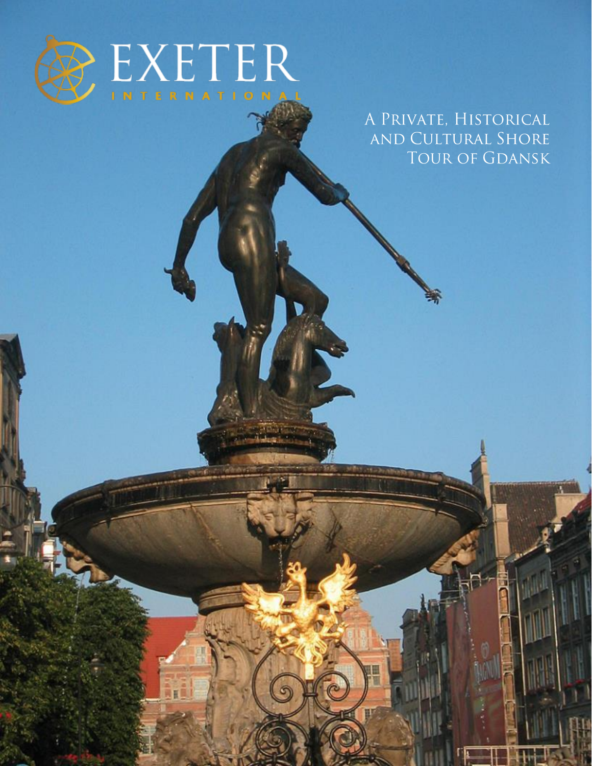

AKÊ

 $\circ$ 

C

A PRIVATE, HISTORICAL AND CULTURAL SHORE TOUR OF GDANSK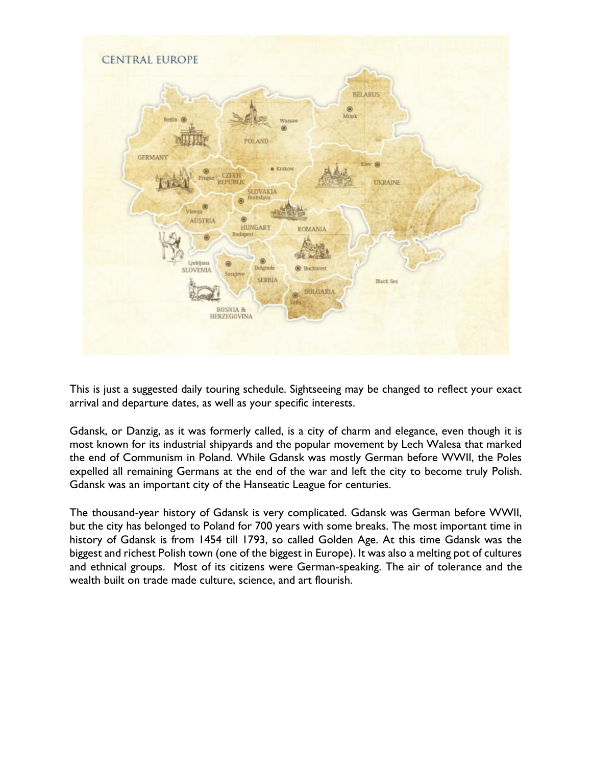

This is just a suggested daily touring schedule. Sightseeing may be changed to reflect your exact arrival and departure dates, as well as your specific interests.

Gdansk, or Danzig, as it was formerly called, is a city of charm and elegance, even though it is most known for its industrial shipyards and the popular movement by Lech Walesa that marked the end of Communism in Poland. While Gdansk was mostly German before WWII, the Poles expelled all remaining Germans at the end of the war and left the city to become truly Polish. Gdansk was an important city of the Hanseatic League for centuries.

The thousand-year history of Gdansk is very complicated. Gdansk was German before WWII, but the city has belonged to Poland for 700 years with some breaks. The most important time in history of Gdansk is from 1454 till 1793, so called Golden Age. At this time Gdansk was the biggest and richest Polish town (one of the biggest in Europe). It was also a melting pot of cultures and ethnical groups. Most of its citizens were German-speaking. The air of tolerance and the wealth built on trade made culture, science, and art flourish.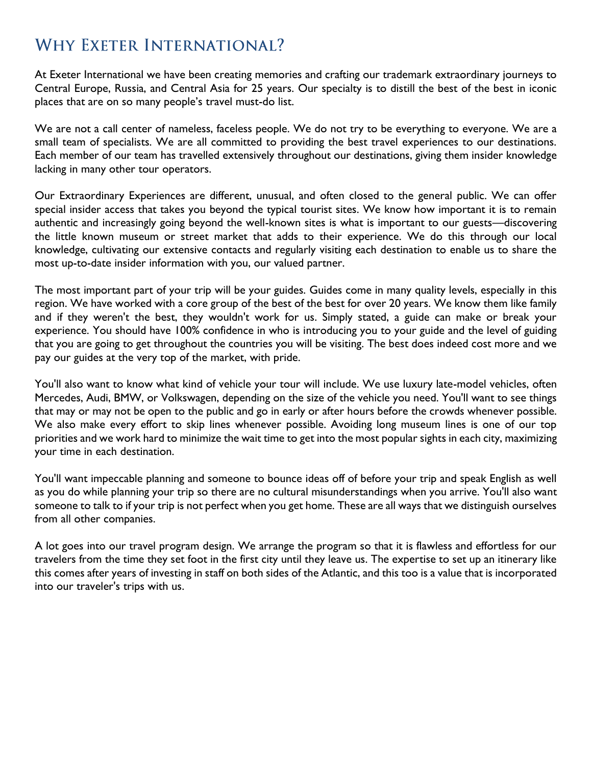## **WHY EXETER INTERNATIONAL?**

At Exeter International we have been creating memories and crafting our trademark extraordinary journeys to Central Europe, Russia, and Central Asia for 25 years. Our specialty is to distill the best of the best in iconic places that are on so many people's travel must-do list.

We are not a call center of nameless, faceless people. We do not try to be everything to everyone. We are a small team of specialists. We are all committed to providing the best travel experiences to our destinations. Each member of our team has travelled extensively throughout our destinations, giving them insider knowledge lacking in many other tour operators.

Our Extraordinary Experiences are different, unusual, and often closed to the general public. We can offer special insider access that takes you beyond the typical tourist sites. We know how important it is to remain authentic and increasingly going beyond the well-known sites is what is important to our guests—discovering the little known museum or street market that adds to their experience. We do this through our local knowledge, cultivating our extensive contacts and regularly visiting each destination to enable us to share the most up-to-date insider information with you, our valued partner.

The most important part of your trip will be your guides. Guides come in many quality levels, especially in this region. We have worked with a core group of the best of the best for over 20 years. We know them like family and if they weren't the best, they wouldn't work for us. Simply stated, a guide can make or break your experience. You should have 100% confidence in who is introducing you to your guide and the level of guiding that you are going to get throughout the countries you will be visiting. The best does indeed cost more and we pay our guides at the very top of the market, with pride.

You'll also want to know what kind of vehicle your tour will include. We use luxury late-model vehicles, often Mercedes, Audi, BMW, or Volkswagen, depending on the size of the vehicle you need. You'll want to see things that may or may not be open to the public and go in early or after hours before the crowds whenever possible. We also make every effort to skip lines whenever possible. Avoiding long museum lines is one of our top priorities and we work hard to minimize the wait time to get into the most popular sights in each city, maximizing your time in each destination.

You'll want impeccable planning and someone to bounce ideas off of before your trip and speak English as well as you do while planning your trip so there are no cultural misunderstandings when you arrive. You'll also want someone to talk to if your trip is not perfect when you get home. These are all ways that we distinguish ourselves from all other companies.

A lot goes into our travel program design. We arrange the program so that it is flawless and effortless for our travelers from the time they set foot in the first city until they leave us. The expertise to set up an itinerary like this comes after years of investing in staff on both sides of the Atlantic, and this too is a value that is incorporated into our traveler's trips with us.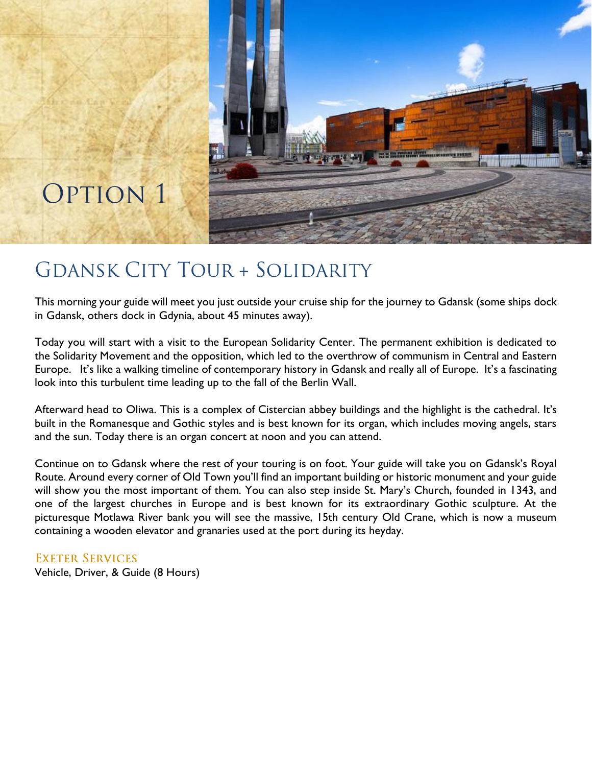

# **GDANSK CITY TOUR + SOLIDARITY**

This morning your guide will meet you just outside your cruise ship for the journey to Gdansk (some ships dock in Gdansk, others dock in Gdynia, about 45 minutes away).

Today you will start with a visit to the European Solidarity Center. The permanent exhibition is dedicated to the Solidarity Movement and the opposition, which led to the overthrow of communism in Central and Eastern Europe. It's like a walking timeline of contemporary history in Gdansk and really all of Europe. It's a fascinating look into this turbulent time leading up to the fall of the Berlin Wall.

Afterward head to Oliwa. This is a complex of Cistercian abbey buildings and the highlight is the cathedral. It's built in the Romanesque and Gothic styles and is best known for its organ, which includes moving angels, stars and the sun. Today there is an organ concert at noon and you can attend.

Continue on to Gdansk where the rest of your touring is on foot. Your guide will take you on Gdansk's Royal Route. Around every corner of Old Town you'll find an important building or historic monument and your guide will show you the most important of them. You can also step inside St. Mary's Church, founded in 1343, and one of the largest churches in Europe and is best known for its extraordinary Gothic sculpture. At the picturesque Motlawa River bank you will see the massive, 15th century Old Crane, which is now a museum containing a wooden elevator and granaries used at the port during its heyday.

**EXETER SERVICES** Vehicle, Driver, & Guide (8 Hours)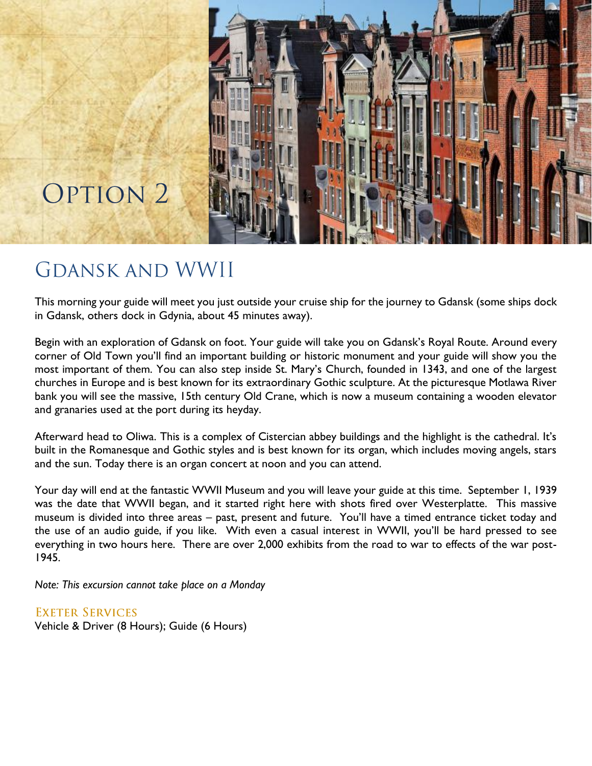

# **OPTION 2**

## **GDANSK AND WWII**

This morning your guide will meet you just outside your cruise ship for the journey to Gdansk (some ships dock in Gdansk, others dock in Gdynia, about 45 minutes away).

Begin with an exploration of Gdansk on foot. Your guide will take you on Gdansk's Royal Route. Around every corner of Old Town you'll find an important building or historic monument and your guide will show you the most important of them. You can also step inside St. Mary's Church, founded in 1343, and one of the largest churches in Europe and is best known for its extraordinary Gothic sculpture. At the picturesque Motlawa River bank you will see the massive, 15th century Old Crane, which is now a museum containing a wooden elevator and granaries used at the port during its heyday.

Afterward head to Oliwa. This is a complex of Cistercian abbey buildings and the highlight is the cathedral. It's built in the Romanesque and Gothic styles and is best known for its organ, which includes moving angels, stars and the sun. Today there is an organ concert at noon and you can attend.

Your day will end at the fantastic WWII Museum and you will leave your guide at this time. September 1, 1939 was the date that WWII began, and it started right here with shots fired over Westerplatte. This massive museum is divided into three areas – past, present and future. You'll have a timed entrance ticket today and the use of an audio guide, if you like. With even a casual interest in WWII, you'll be hard pressed to see everything in two hours here. There are over 2,000 exhibits from the road to war to effects of the war post-1945.

*Note: This excursion cannot take place on a Monday*

**EXETER SERVICES** Vehicle & Driver (8 Hours); Guide (6 Hours)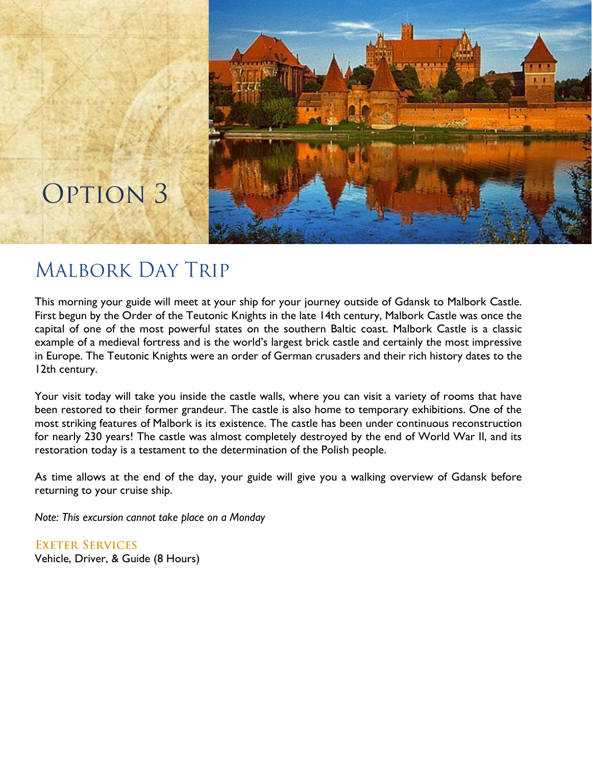

# OPTION 3

## **MALBORK DAY TRIP**

This morning your guide will meet at your ship for your journey outside of Gdansk to Malbork Castle. First begun by the Order of the Teutonic Knights in the late 14th century, Malbork Castle was once the capital of one of the most powerful states on the southern Baltic coast. Malbork Castle is a classic example of a medieval fortress and is the world's largest brick castle and certainly the most impressive in Europe. The Teutonic Knights were an order of German crusaders and their rich history dates to the 12th century.

Your visit today will take you inside the castle walls, where you can visit a variety of rooms that have been restored to their former grandeur. The castle is also home to temporary exhibitions. One of the most striking features of Malbork is its existence. The castle has been under continuous reconstruction for nearly 230 years! The castle was almost completely destroyed by the end of World War II, and its restoration today is a testament to the determination of the Polish people.

As time allows at the end of the day, your guide will give you a walking overview of Gdansk before returning to your cruise ship.

*Note: This excursion cannot take place on a Monday*

**EXETER SERVICES** Vehicle, Driver, & Guide (8 Hours)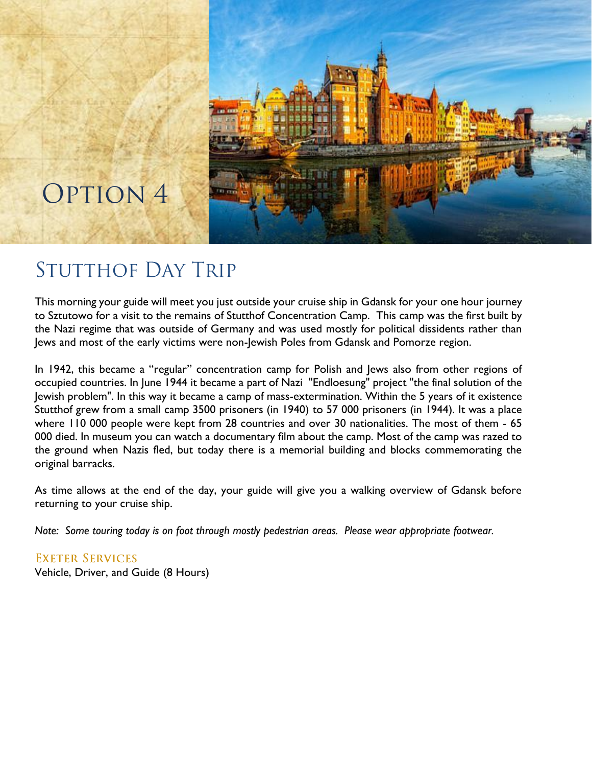

# OPTION 4

# **STUTTHOF DAY TRIP**

This morning your guide will meet you just outside your cruise ship in Gdansk for your one hour journey to Sztutowo for a visit to the remains of Stutthof Concentration Camp. This camp was the first built by the Nazi regime that was outside of Germany and was used mostly for political dissidents rather than Jews and most of the early victims were non-Jewish Poles from Gdansk and Pomorze region.

In 1942, this became a "regular" concentration camp for Polish and Jews also from other regions of occupied countries. In June 1944 it became a part of Nazi "Endloesung" project "the final solution of the Jewish problem". In this way it became a camp of mass-extermination. Within the 5 years of it existence Stutthof grew from a small camp 3500 prisoners (in 1940) to 57 000 prisoners (in 1944). It was a place where 110 000 people were kept from 28 countries and over 30 nationalities. The most of them - 65 000 died. In museum you can watch a documentary film about the camp. Most of the camp was razed to the ground when Nazis fled, but today there is a memorial building and blocks commemorating the original barracks.

As time allows at the end of the day, your guide will give you a walking overview of Gdansk before returning to your cruise ship.

*Note: Some touring today is on foot through mostly pedestrian areas. Please wear appropriate footwear.*

**EXETER SERVICES** Vehicle, Driver, and Guide (8 Hours)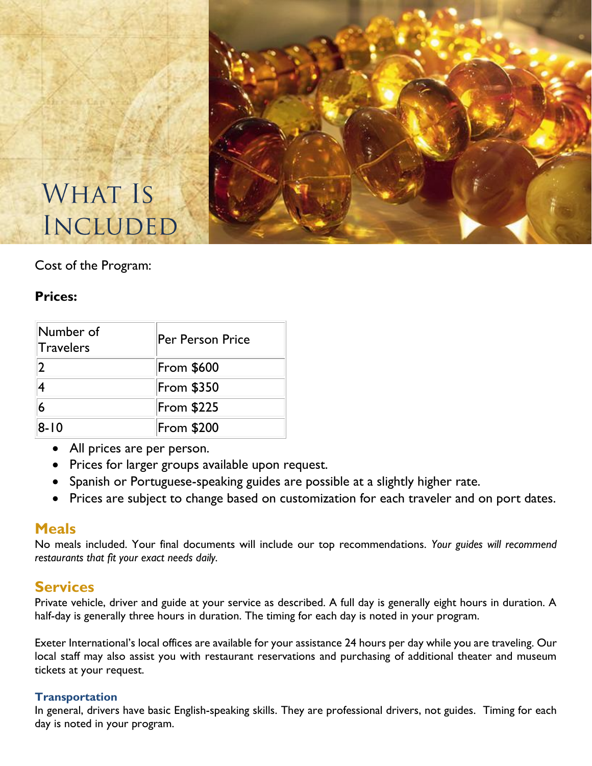

# **WHAT IS INCLUDED**

### Cost of the Program:

### **Prices:**

| Number of<br>Travelers | Per Person Price  |
|------------------------|-------------------|
| 2                      | <b>From \$600</b> |
|                        | <b>From \$350</b> |
|                        | <b>From \$225</b> |
| 8-10                   | <b>From \$200</b> |

- All prices are per person.
- Prices for larger groups available upon request.
- Spanish or Portuguese-speaking guides are possible at a slightly higher rate.
- Prices are subject to change based on customization for each traveler and on port dates.

### **Meals**

No meals included. Your final documents will include our top recommendations. *Your guides will recommend restaurants that fit your exact needs daily.*

## **Services**

Private vehicle, driver and guide at your service as described. A full day is generally eight hours in duration. A half-day is generally three hours in duration. The timing for each day is noted in your program.

Exeter International's local offices are available for your assistance 24 hours per day while you are traveling. Our local staff may also assist you with restaurant reservations and purchasing of additional theater and museum tickets at your request.

#### **Transportation**

In general, drivers have basic English-speaking skills. They are professional drivers, not guides. Timing for each day is noted in your program.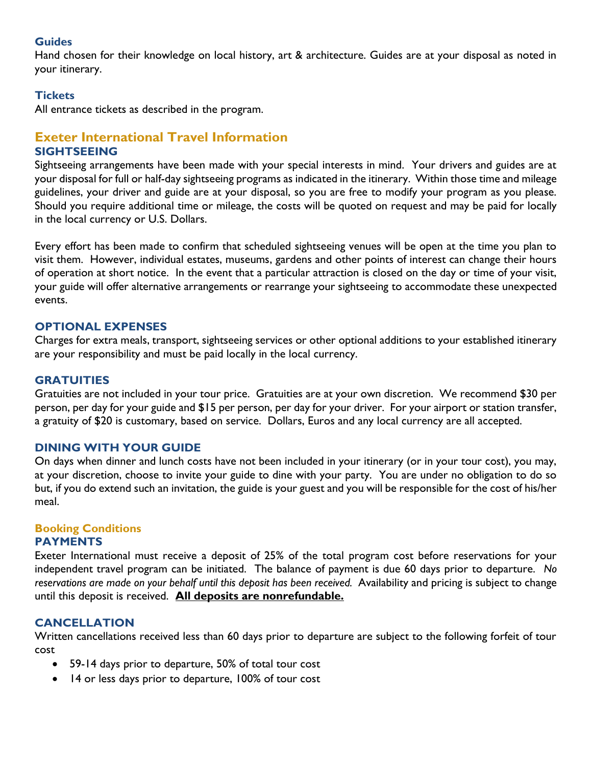#### **Guides**

Hand chosen for their knowledge on local history, art & architecture. Guides are at your disposal as noted in your itinerary.

#### **Tickets**

All entrance tickets as described in the program.

#### **Exeter International Travel Information SIGHTSEEING**

Sightseeing arrangements have been made with your special interests in mind. Your drivers and guides are at your disposal for full or half-day sightseeing programs as indicated in the itinerary. Within those time and mileage guidelines, your driver and guide are at your disposal, so you are free to modify your program as you please. Should you require additional time or mileage, the costs will be quoted on request and may be paid for locally in the local currency or U.S. Dollars.

Every effort has been made to confirm that scheduled sightseeing venues will be open at the time you plan to visit them. However, individual estates, museums, gardens and other points of interest can change their hours of operation at short notice. In the event that a particular attraction is closed on the day or time of your visit, your guide will offer alternative arrangements or rearrange your sightseeing to accommodate these unexpected events.

#### **OPTIONAL EXPENSES**

Charges for extra meals, transport, sightseeing services or other optional additions to your established itinerary are your responsibility and must be paid locally in the local currency.

#### **GRATUITIES**

Gratuities are not included in your tour price. Gratuities are at your own discretion. We recommend \$30 per person, per day for your guide and \$15 per person, per day for your driver. For your airport or station transfer, a gratuity of \$20 is customary, based on service. Dollars, Euros and any local currency are all accepted.

#### **DINING WITH YOUR GUIDE**

On days when dinner and lunch costs have not been included in your itinerary (or in your tour cost), you may, at your discretion, choose to invite your guide to dine with your party. You are under no obligation to do so but, if you do extend such an invitation, the guide is your guest and you will be responsible for the cost of his/her meal.

### **Booking Conditions**

#### **PAYMENTS**

Exeter International must receive a deposit of 25% of the total program cost before reservations for your independent travel program can be initiated. The balance of payment is due 60 days prior to departure. *No reservations are made on your behalf until this deposit has been received.* Availability and pricing is subject to change until this deposit is received. **All deposits are nonrefundable.**

#### **CANCELLATION**

Written cancellations received less than 60 days prior to departure are subject to the following forfeit of tour cost

- 59-14 days prior to departure, 50% of total tour cost
- 14 or less days prior to departure, 100% of tour cost